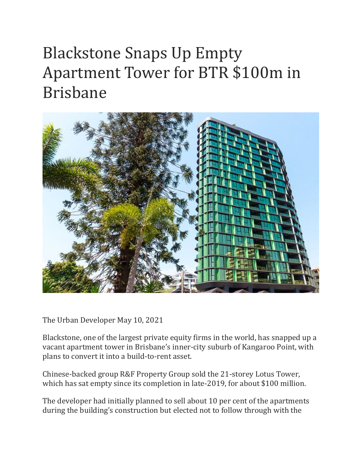## Blackstone Snaps Up Empty Apartment Tower for BTR \$100m in Brisbane



The Urban Developer May 10, 2021

Blackstone, one of the largest private equity firms in the world, has snapped up a vacant apartment tower in Brisbane's inner-city suburb of Kangaroo Point, with plans to convert it into a build-to-rent asset.

Chinese-backed group R&F Property Group sold the 21-storey Lotus Tower, which has sat empty since its completion in late-2019, for about \$100 million.

The developer had initially planned to sell about 10 per cent of the apartments during the building's construction but elected not to follow through with the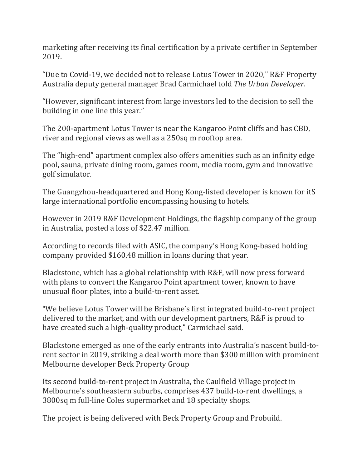marketing after receiving its final certification by a private certifier in September 2019.

"Due to Covid-19, we decided not to release Lotus Tower in 2020," R&F Property Australia deputy general manager Brad Carmichael told *The Urban Developer*.

"However, significant interest from large investors led to the decision to sell the building in one line this year."

The 200-apartment Lotus Tower is near the Kangaroo Point cliffs and has CBD, river and regional views as well as a 250sq m rooftop area.

The "high-end" apartment complex also offers amenities such as an infinity edge pool, sauna, private dining room, games room, media room, gym and innovative golf simulator.

The Guangzhou-headquartered and Hong Kong-listed developer is known for itS large international portfolio encompassing housing to hotels.

However in 2019 R&F Development Holdings, the flagship company of the group in Australia, posted a loss of \$22.47 million.

According to records filed with ASIC, the company's Hong Kong-based holding company provided \$160.48 million in loans during that year.

Blackstone, which has a global relationship with R&F, will now press forward with plans to convert the Kangaroo Point apartment tower, known to have unusual floor plates, into a build-to-rent asset.

"We believe Lotus Tower will be Brisbane's first integrated build-to-rent project delivered to the market, and with our development partners, R&F is proud to have created such a high-quality product," Carmichael said.

Blackstone emerged as one of the early entrants into Australia's nascent build-torent sector in 2019, striking a deal worth more than \$300 million with prominent Melbourne developer Beck Property Group

Its second build-to-rent project in Australia, the Caulfield Village project in Melbourne's southeastern suburbs, comprises 437 build-to-rent dwellings, a 3800sq m full-line Coles supermarket and 18 specialty shops.

The project is being delivered with Beck Property Group and Probuild.